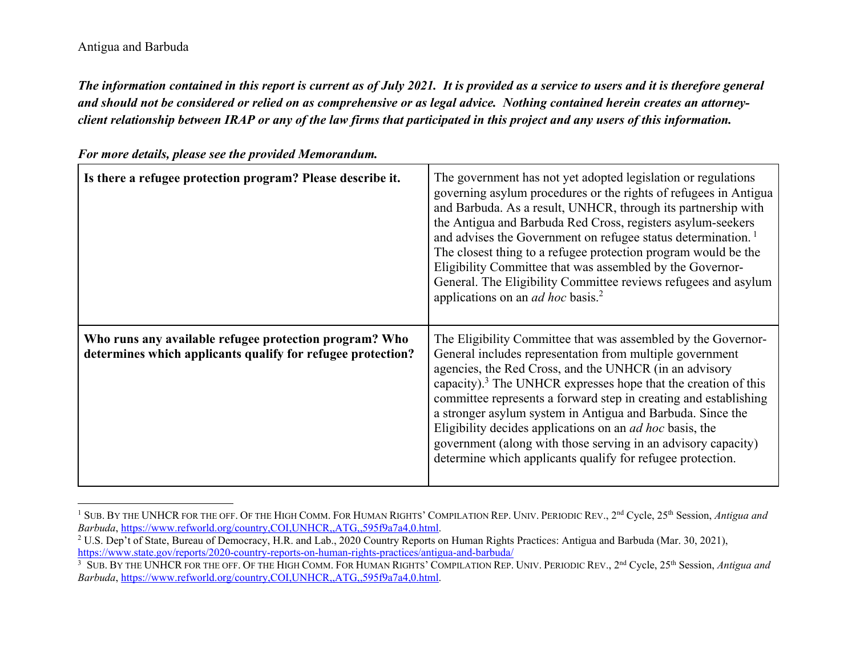*The information contained in this report is current as of July 2021. It is provided as a service to users and it is therefore general and should not be considered or relied on as comprehensive or as legal advice. Nothing contained herein creates an attorneyclient relationship between IRAP or any of the law firms that participated in this project and any users of this information.* 

| Is there a refugee protection program? Please describe it.                                                            | The government has not yet adopted legislation or regulations<br>governing asylum procedures or the rights of refugees in Antigua<br>and Barbuda. As a result, UNHCR, through its partnership with<br>the Antigua and Barbuda Red Cross, registers asylum-seekers<br>and advises the Government on refugee status determination. <sup>1</sup><br>The closest thing to a refugee protection program would be the<br>Eligibility Committee that was assembled by the Governor-<br>General. The Eligibility Committee reviews refugees and asylum<br>applications on an <i>ad hoc</i> basis. <sup>2</sup> |
|-----------------------------------------------------------------------------------------------------------------------|--------------------------------------------------------------------------------------------------------------------------------------------------------------------------------------------------------------------------------------------------------------------------------------------------------------------------------------------------------------------------------------------------------------------------------------------------------------------------------------------------------------------------------------------------------------------------------------------------------|
| Who runs any available refugee protection program? Who<br>determines which applicants qualify for refugee protection? | The Eligibility Committee that was assembled by the Governor-<br>General includes representation from multiple government<br>agencies, the Red Cross, and the UNHCR (in an advisory<br>capacity). $3$ The UNHCR expresses hope that the creation of this<br>committee represents a forward step in creating and establishing<br>a stronger asylum system in Antigua and Barbuda. Since the<br>Eligibility decides applications on an <i>ad hoc</i> basis, the<br>government (along with those serving in an advisory capacity)<br>determine which applicants qualify for refugee protection.           |

*For more details, please see the provided Memorandum.* 

<sup>1</sup> SUB. BY THE UNHCR FOR THE OFF. OF THE HIGH COMM. FOR HUMAN RIGHTS' COMPILATION REP. UNIV. PERIODIC REV., 2nd Cycle, 25th Session, *Antigua and Barbuda*, https://www.refworld.org/country,COI,UNHCR,,ATG,,595f9a7a4,0.html.

<sup>&</sup>lt;sup>2</sup> U.S. Dep't of State, Bureau of Democracy, H.R. and Lab., 2020 Country Reports on Human Rights Practices: Antigua and Barbuda (Mar. 30, 2021), https://www.state.gov/reports/2020-country-reports-on-human-rights-practices/antigua-and-barbuda/

<sup>3</sup> SUB. BY THE UNHCR FOR THE OFF. OF THE HIGH COMM. FOR HUMAN RIGHTS' COMPILATION REP. UNIV. PERIODIC REV., 2nd Cycle, 25th Session, *Antigua and Barbuda*, https://www.refworld.org/country,COI,UNHCR,,ATG,,595f9a7a4,0.html.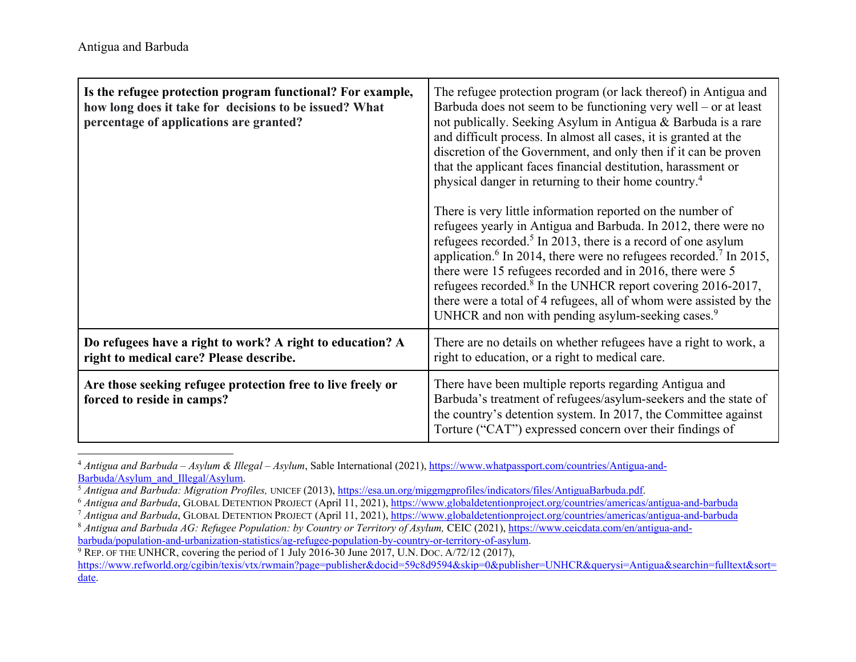| Is the refugee protection program functional? For example,<br>how long does it take for decisions to be issued? What<br>percentage of applications are granted? | The refugee protection program (or lack thereof) in Antigua and<br>Barbuda does not seem to be functioning very well – or at least<br>not publically. Seeking Asylum in Antigua & Barbuda is a rare<br>and difficult process. In almost all cases, it is granted at the<br>discretion of the Government, and only then if it can be proven<br>that the applicant faces financial destitution, harassment or<br>physical danger in returning to their home country. <sup>4</sup><br>There is very little information reported on the number of<br>refugees yearly in Antigua and Barbuda. In 2012, there were no<br>refugees recorded. <sup>5</sup> In 2013, there is a record of one asylum<br>application. <sup>6</sup> In 2014, there were no refugees recorded. <sup>7</sup> In 2015,<br>there were 15 refugees recorded and in 2016, there were 5<br>refugees recorded. <sup>8</sup> In the UNHCR report covering 2016-2017,<br>there were a total of 4 refugees, all of whom were assisted by the<br>UNHCR and non with pending asylum-seeking cases. <sup>9</sup> |
|-----------------------------------------------------------------------------------------------------------------------------------------------------------------|-------------------------------------------------------------------------------------------------------------------------------------------------------------------------------------------------------------------------------------------------------------------------------------------------------------------------------------------------------------------------------------------------------------------------------------------------------------------------------------------------------------------------------------------------------------------------------------------------------------------------------------------------------------------------------------------------------------------------------------------------------------------------------------------------------------------------------------------------------------------------------------------------------------------------------------------------------------------------------------------------------------------------------------------------------------------------|
| Do refugees have a right to work? A right to education? A<br>right to medical care? Please describe.                                                            | There are no details on whether refugees have a right to work, a<br>right to education, or a right to medical care.                                                                                                                                                                                                                                                                                                                                                                                                                                                                                                                                                                                                                                                                                                                                                                                                                                                                                                                                                     |
| Are those seeking refugee protection free to live freely or<br>forced to reside in camps?                                                                       | There have been multiple reports regarding Antigua and<br>Barbuda's treatment of refugees/asylum-seekers and the state of<br>the country's detention system. In 2017, the Committee against<br>Torture ("CAT") expressed concern over their findings of                                                                                                                                                                                                                                                                                                                                                                                                                                                                                                                                                                                                                                                                                                                                                                                                                 |

4 *Antigua and Barbuda – Asylum & Illegal – Asylum*, Sable International (2021), https://www.whatpassport.com/countries/Antigua-and-Barbuda/Asylum\_and\_Illegal/Asylum.

<sup>5</sup> Antigua and Barbuda: Migration Profiles, UNICEF (2013), https://esa.un.org/miggmgprofiles/indicators/files/AntiguaBarbuda.pdf.

<sup>7</sup> Antigua and Barbuda, GLOBAL DETENTION PROJECT (April 11, 2021), https://www.globaldetentionproject.org/countries/americas/antigua-and-barbuda

 $9$  REP. OF THE UNHCR, covering the period of 1 July 2016-30 June 2017, U.N. Doc.  $A/72/12$  (2017),

https://www.refworld.org/cgibin/texis/vtx/rwmain?page=publisher&docid=59c8d9594&skip=0&publisher=UNHCR&querysi=Antigua&searchin=fulltext&sort= date.

<sup>6</sup> *Antigua and Barbuda*, GLOBAL DETENTION PROJECT (April 11, 2021), https://www.globaldetentionproject.org/countries/americas/antigua-and-barbuda

<sup>&</sup>lt;sup>8</sup> Antigua and Barbuda AG: Refugee Population: by Country or Territory of Asylum, CEIC (2021), https://www.ceicdata.com/en/antigua-andbarbuda/population-and-urbanization-statistics/ag-refugee-population-by-country-or-territory-of-asylum.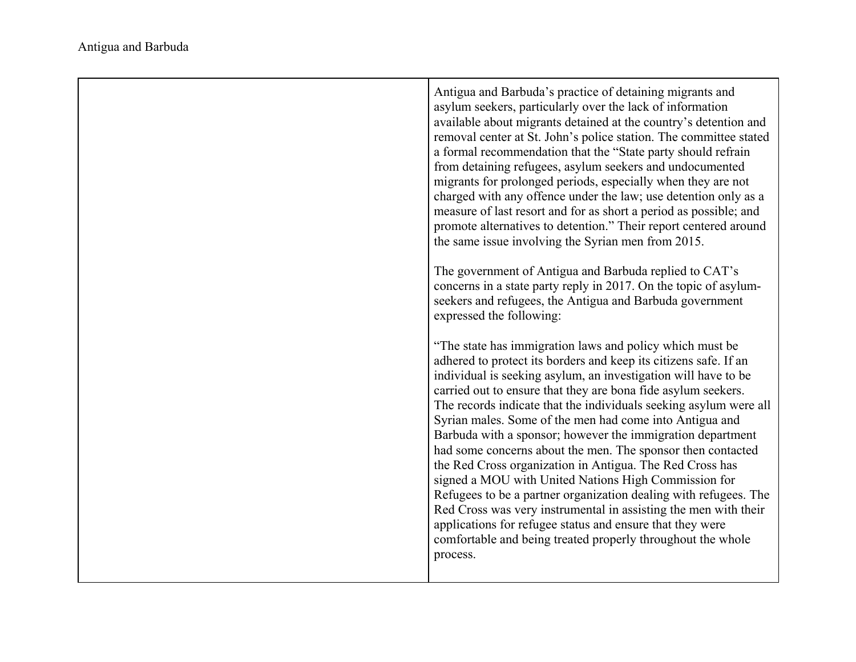| Antigua and Barbuda's practice of detaining migrants and<br>asylum seekers, particularly over the lack of information<br>available about migrants detained at the country's detention and<br>removal center at St. John's police station. The committee stated<br>a formal recommendation that the "State party should refrain<br>from detaining refugees, asylum seekers and undocumented<br>migrants for prolonged periods, especially when they are not<br>charged with any offence under the law; use detention only as a<br>measure of last resort and for as short a period as possible; and<br>promote alternatives to detention." Their report centered around<br>the same issue involving the Syrian men from 2015.                                                                                                                                                                                                    |
|---------------------------------------------------------------------------------------------------------------------------------------------------------------------------------------------------------------------------------------------------------------------------------------------------------------------------------------------------------------------------------------------------------------------------------------------------------------------------------------------------------------------------------------------------------------------------------------------------------------------------------------------------------------------------------------------------------------------------------------------------------------------------------------------------------------------------------------------------------------------------------------------------------------------------------|
| The government of Antigua and Barbuda replied to CAT's<br>concerns in a state party reply in 2017. On the topic of asylum-<br>seekers and refugees, the Antigua and Barbuda government<br>expressed the following:                                                                                                                                                                                                                                                                                                                                                                                                                                                                                                                                                                                                                                                                                                              |
| "The state has immigration laws and policy which must be<br>adhered to protect its borders and keep its citizens safe. If an<br>individual is seeking asylum, an investigation will have to be<br>carried out to ensure that they are bona fide asylum seekers.<br>The records indicate that the individuals seeking asylum were all<br>Syrian males. Some of the men had come into Antigua and<br>Barbuda with a sponsor; however the immigration department<br>had some concerns about the men. The sponsor then contacted<br>the Red Cross organization in Antigua. The Red Cross has<br>signed a MOU with United Nations High Commission for<br>Refugees to be a partner organization dealing with refugees. The<br>Red Cross was very instrumental in assisting the men with their<br>applications for refugee status and ensure that they were<br>comfortable and being treated properly throughout the whole<br>process. |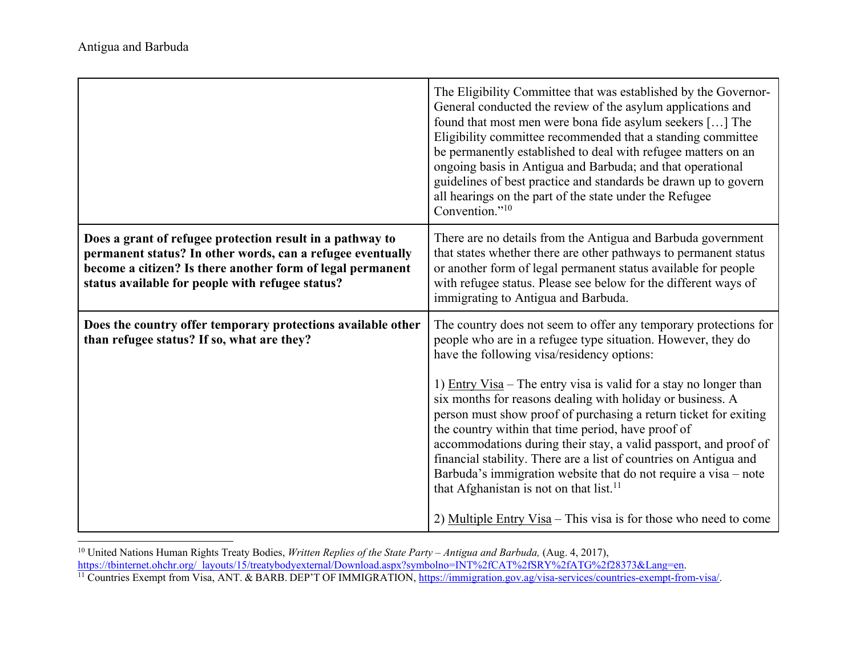|                                                                                                                                                                                                                                           | The Eligibility Committee that was established by the Governor-<br>General conducted the review of the asylum applications and<br>found that most men were bona fide asylum seekers [] The<br>Eligibility committee recommended that a standing committee<br>be permanently established to deal with refugee matters on an<br>ongoing basis in Antigua and Barbuda; and that operational<br>guidelines of best practice and standards be drawn up to govern<br>all hearings on the part of the state under the Refugee<br>Convention." <sup>10</sup>                                                                                                                                                                                                                                 |
|-------------------------------------------------------------------------------------------------------------------------------------------------------------------------------------------------------------------------------------------|--------------------------------------------------------------------------------------------------------------------------------------------------------------------------------------------------------------------------------------------------------------------------------------------------------------------------------------------------------------------------------------------------------------------------------------------------------------------------------------------------------------------------------------------------------------------------------------------------------------------------------------------------------------------------------------------------------------------------------------------------------------------------------------|
| Does a grant of refugee protection result in a pathway to<br>permanent status? In other words, can a refugee eventually<br>become a citizen? Is there another form of legal permanent<br>status available for people with refugee status? | There are no details from the Antigua and Barbuda government<br>that states whether there are other pathways to permanent status<br>or another form of legal permanent status available for people<br>with refugee status. Please see below for the different ways of<br>immigrating to Antigua and Barbuda.                                                                                                                                                                                                                                                                                                                                                                                                                                                                         |
| Does the country offer temporary protections available other<br>than refugee status? If so, what are they?                                                                                                                                | The country does not seem to offer any temporary protections for<br>people who are in a refugee type situation. However, they do<br>have the following visa/residency options:<br>1) $Entry Visa – The entry visa is valid for a stay no longer than$<br>six months for reasons dealing with holiday or business. A<br>person must show proof of purchasing a return ticket for exiting<br>the country within that time period, have proof of<br>accommodations during their stay, a valid passport, and proof of<br>financial stability. There are a list of countries on Antigua and<br>Barbuda's immigration website that do not require a visa - note<br>that Afghanistan is not on that list. <sup>11</sup><br>2) Multiple Entry Visa - This visa is for those who need to come |

<sup>&</sup>lt;sup>10</sup> United Nations Human Rights Treaty Bodies, *Written Replies of the State Party – Antigua and Barbuda*, (Aug. 4, 2017),

https://tbinternet.ohchr.org/\_layouts/15/treatybodyexternal/Download.aspx?symbolno=INT%2fCAT%2fSRY%2fATG%2f28373&Lang=en.

<sup>&</sup>lt;sup>11</sup> Countries Exempt from Visa, ANT. & BARB. DEP'T OF IMMIGRATION, https://immigration.gov.ag/visa-services/countries-exempt-from-visa/.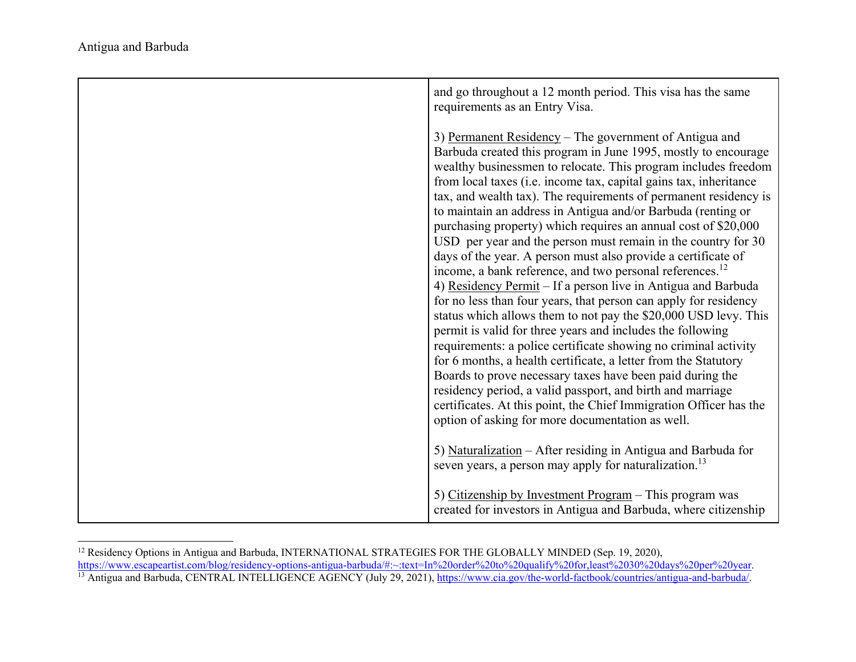| and go throughout a 12 month period. This visa has the same<br>requirements as an Entry Visa.                                                                                                                                                                                                                                                                                                                                                                                                                                                                                                                                                                                                                                                                                                                                                                                                                                                                                                                                                                                                                                                                                                                                                                                                                                                    |
|--------------------------------------------------------------------------------------------------------------------------------------------------------------------------------------------------------------------------------------------------------------------------------------------------------------------------------------------------------------------------------------------------------------------------------------------------------------------------------------------------------------------------------------------------------------------------------------------------------------------------------------------------------------------------------------------------------------------------------------------------------------------------------------------------------------------------------------------------------------------------------------------------------------------------------------------------------------------------------------------------------------------------------------------------------------------------------------------------------------------------------------------------------------------------------------------------------------------------------------------------------------------------------------------------------------------------------------------------|
| 3) Permanent Residency – The government of Antigua and<br>Barbuda created this program in June 1995, mostly to encourage<br>wealthy businessmen to relocate. This program includes freedom<br>from local taxes (i.e. income tax, capital gains tax, inheritance<br>tax, and wealth tax). The requirements of permanent residency is<br>to maintain an address in Antigua and/or Barbuda (renting or<br>purchasing property) which requires an annual cost of \$20,000<br>USD per year and the person must remain in the country for 30<br>days of the year. A person must also provide a certificate of<br>income, a bank reference, and two personal references. <sup>12</sup><br>4) Residency Permit - If a person live in Antigua and Barbuda<br>for no less than four years, that person can apply for residency<br>status which allows them to not pay the \$20,000 USD levy. This<br>permit is valid for three years and includes the following<br>requirements: a police certificate showing no criminal activity<br>for 6 months, a health certificate, a letter from the Statutory<br>Boards to prove necessary taxes have been paid during the<br>residency period, a valid passport, and birth and marriage<br>certificates. At this point, the Chief Immigration Officer has the<br>option of asking for more documentation as well. |
| 5) Naturalization - After residing in Antigua and Barbuda for<br>seven years, a person may apply for naturalization. <sup>13</sup>                                                                                                                                                                                                                                                                                                                                                                                                                                                                                                                                                                                                                                                                                                                                                                                                                                                                                                                                                                                                                                                                                                                                                                                                               |
| 5) Citizenship by Investment Program - This program was<br>created for investors in Antigua and Barbuda, where citizenship                                                                                                                                                                                                                                                                                                                                                                                                                                                                                                                                                                                                                                                                                                                                                                                                                                                                                                                                                                                                                                                                                                                                                                                                                       |

<sup>&</sup>lt;sup>12</sup> Residency Options in Antigua and Barbuda, INTERNATIONAL STRATEGIES FOR THE GLOBALLY MINDED (Sep. 19, 2020),

https://www.escapeartist.com/blog/residency-options-antigua-barbuda/#:~:text=In%20order%20to%20qualify%20for,least%2030%20days%20per%20year. <sup>13</sup> Antigua and Barbuda, CENTRAL INTELLIGENCE AGENCY (July 29, 2021), https://www.cia.gov/the-world-factbook/countries/antigua-and-barbuda/.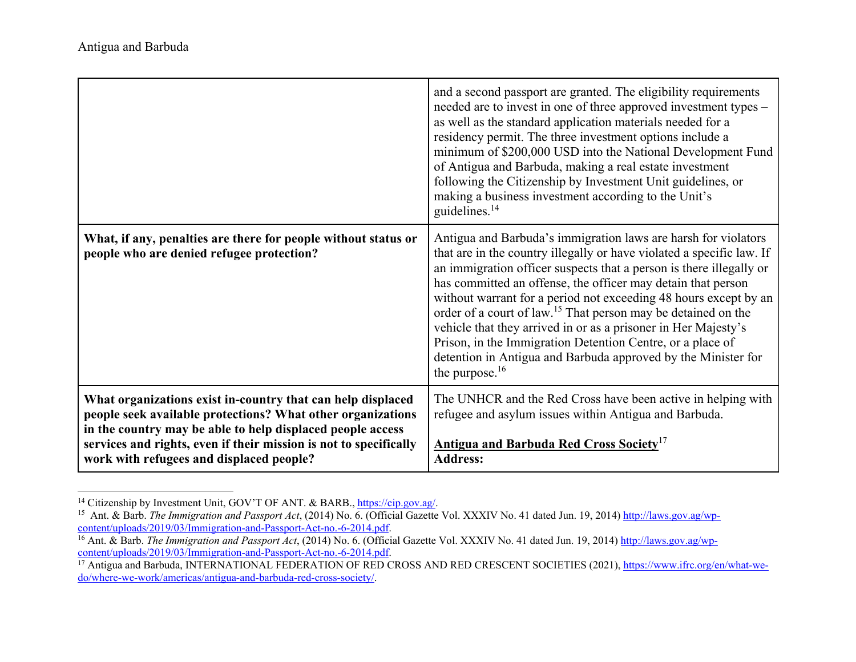|                                                                                                                                                                                                                                                                                                           | and a second passport are granted. The eligibility requirements<br>needed are to invest in one of three approved investment types –<br>as well as the standard application materials needed for a<br>residency permit. The three investment options include a<br>minimum of \$200,000 USD into the National Development Fund<br>of Antigua and Barbuda, making a real estate investment<br>following the Citizenship by Investment Unit guidelines, or<br>making a business investment according to the Unit's<br>guidelines. <sup>14</sup>                                                                                                           |
|-----------------------------------------------------------------------------------------------------------------------------------------------------------------------------------------------------------------------------------------------------------------------------------------------------------|-------------------------------------------------------------------------------------------------------------------------------------------------------------------------------------------------------------------------------------------------------------------------------------------------------------------------------------------------------------------------------------------------------------------------------------------------------------------------------------------------------------------------------------------------------------------------------------------------------------------------------------------------------|
| What, if any, penalties are there for people without status or<br>people who are denied refugee protection?                                                                                                                                                                                               | Antigua and Barbuda's immigration laws are harsh for violators<br>that are in the country illegally or have violated a specific law. If<br>an immigration officer suspects that a person is there illegally or<br>has committed an offense, the officer may detain that person<br>without warrant for a period not exceeding 48 hours except by an<br>order of a court of law. <sup>15</sup> That person may be detained on the<br>vehicle that they arrived in or as a prisoner in Her Majesty's<br>Prison, in the Immigration Detention Centre, or a place of<br>detention in Antigua and Barbuda approved by the Minister for<br>the purpose. $16$ |
| What organizations exist in-country that can help displaced<br>people seek available protections? What other organizations<br>in the country may be able to help displaced people access<br>services and rights, even if their mission is not to specifically<br>work with refugees and displaced people? | The UNHCR and the Red Cross have been active in helping with<br>refugee and asylum issues within Antigua and Barbuda.<br><b>Antigua and Barbuda Red Cross Society<sup>17</sup></b><br><b>Address:</b>                                                                                                                                                                                                                                                                                                                                                                                                                                                 |

<sup>&</sup>lt;sup>14</sup> Citizenship by Investment Unit, GOV'T OF ANT. & BARB., https://cip.gov.ag/.

<sup>&</sup>lt;sup>15</sup> Ant. & Barb. *The Immigration and Passport Act*, (2014) No. 6. (Official Gazette Vol. XXXIV No. 41 dated Jun. 19, 2014) http://laws.gov.ag/wpcontent/uploads/2019/03/Immigration-and-Passport-Act-no.-6-2014.pdf.

<sup>&</sup>lt;sup>16</sup> Ant. & Barb. *The Immigration and Passport Act*, (2014) No. 6. (Official Gazette Vol. XXXIV No. 41 dated Jun. 19, 2014) http://laws.gov.ag/wpcontent/uploads/2019/03/Immigration-and-Passport-Act-no.-6-2014.pdf.

<sup>&</sup>lt;sup>17</sup> Antigua and Barbuda, INTERNATIONAL FEDERATION OF RED CROSS AND RED CRESCENT SOCIETIES (2021), https://www.ifrc.org/en/what-wedo/where-we-work/americas/antigua-and-barbuda-red-cross-society/.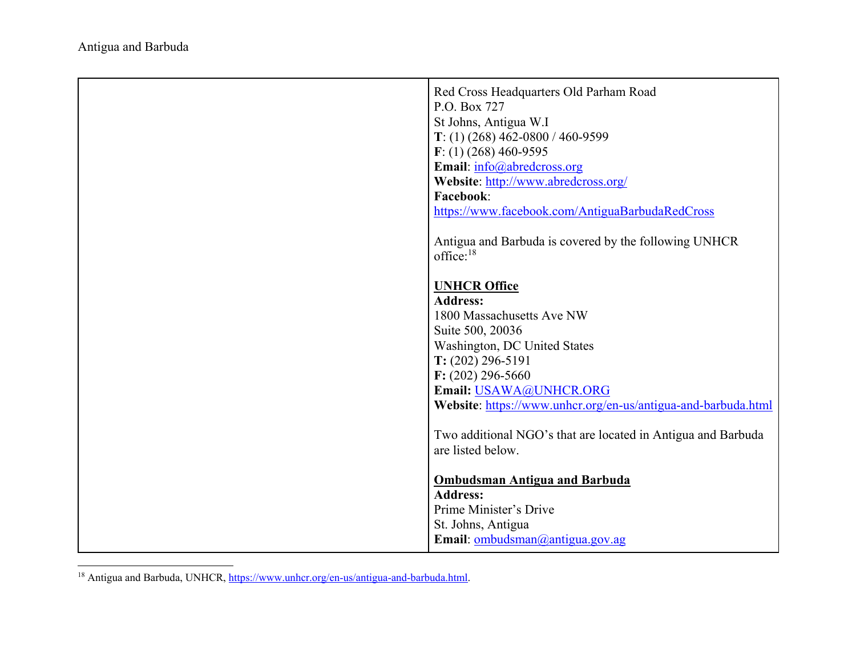| Red Cross Headquarters Old Parham Road<br>P.O. Box 727<br>St Johns, Antigua W.I<br>T: (1) (268) 462-0800 / 460-9599<br>$F: (1)$ (268) 460-9595<br>Email: info@abredcross.org<br>Website: http://www.abredcross.org/<br><b>Facebook:</b><br>https://www.facebook.com/AntiguaBarbudaRedCross |
|--------------------------------------------------------------------------------------------------------------------------------------------------------------------------------------------------------------------------------------------------------------------------------------------|
| Antigua and Barbuda is covered by the following UNHCR<br>office: $18$                                                                                                                                                                                                                      |
| <b>UNHCR Office</b><br><b>Address:</b><br>1800 Massachusetts Ave NW<br>Suite 500, 20036<br>Washington, DC United States<br>$T: (202) 296 - 5191$<br>$F: (202) 296 - 5660$<br>Email: USAWA@UNHCR.ORG<br>Website: https://www.unhcr.org/en-us/antigua-and-barbuda.html                       |
| Two additional NGO's that are located in Antigua and Barbuda<br>are listed below.                                                                                                                                                                                                          |
| <b>Ombudsman Antigua and Barbuda</b><br><b>Address:</b><br>Prime Minister's Drive<br>St. Johns, Antigua<br>Email: ombudsman@antigua.gov.ag                                                                                                                                                 |

<sup>&</sup>lt;sup>18</sup> Antigua and Barbuda, UNHCR, https://www.unhcr.org/en-us/antigua-and-barbuda.html.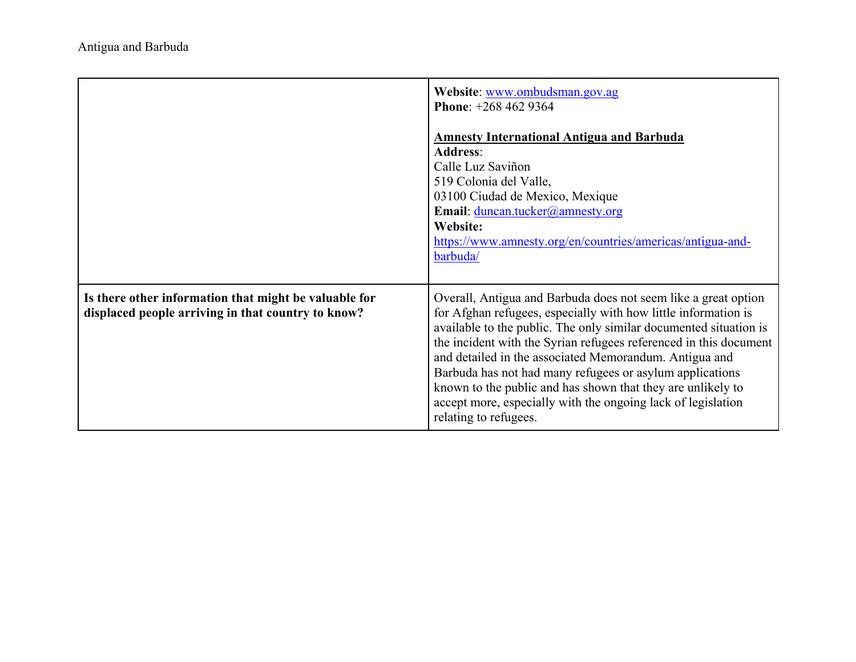|                                                                                                             | Website: www.ombudsman.gov.ag<br>Phone: $+2684629364$<br><b>Amnesty International Antigua and Barbuda</b><br><b>Address:</b><br>Calle Luz Saviñon<br>519 Colonia del Valle,<br>03100 Ciudad de Mexico, Mexique<br>Email: duncan.tucker@amnesty.org<br>Website:<br>https://www.amnesty.org/en/countries/americas/antigua-and-<br>barbuda/                                                                                                                                                                                                                 |
|-------------------------------------------------------------------------------------------------------------|----------------------------------------------------------------------------------------------------------------------------------------------------------------------------------------------------------------------------------------------------------------------------------------------------------------------------------------------------------------------------------------------------------------------------------------------------------------------------------------------------------------------------------------------------------|
| Is there other information that might be valuable for<br>displaced people arriving in that country to know? | Overall, Antigua and Barbuda does not seem like a great option<br>for Afghan refugees, especially with how little information is<br>available to the public. The only similar documented situation is<br>the incident with the Syrian refugees referenced in this document<br>and detailed in the associated Memorandum. Antigua and<br>Barbuda has not had many refugees or asylum applications<br>known to the public and has shown that they are unlikely to<br>accept more, especially with the ongoing lack of legislation<br>relating to refugees. |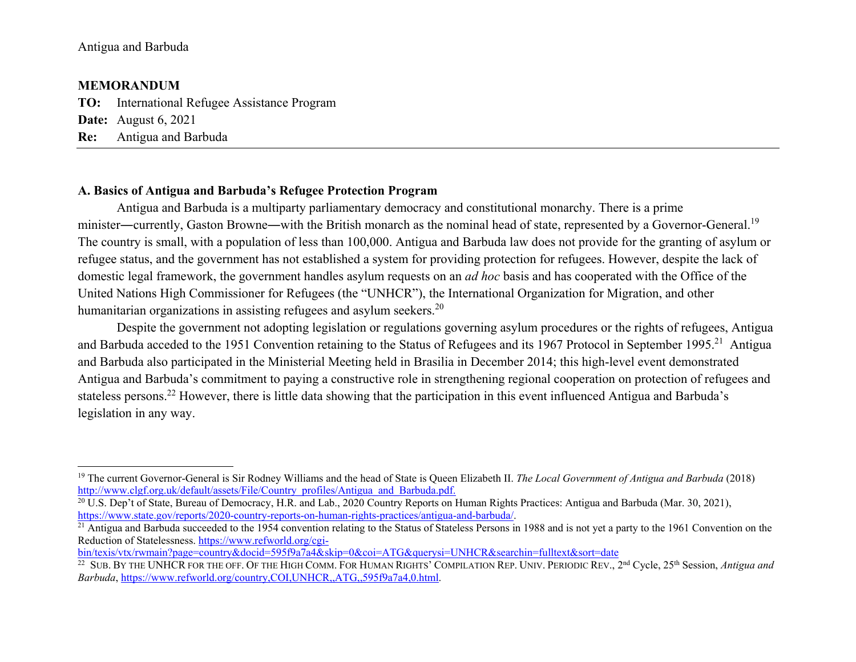#### **MEMORANDUM**

**TO:** International Refugee Assistance Program **Date:** August 6, 2021 **Re:** Antigua and Barbuda

## **A. Basics of Antigua and Barbuda's Refugee Protection Program**

Antigua and Barbuda is a multiparty parliamentary democracy and constitutional monarchy. There is a prime minister—currently, Gaston Browne—with the British monarch as the nominal head of state, represented by a Governor-General.<sup>19</sup> The country is small, with a population of less than 100,000. Antigua and Barbuda law does not provide for the granting of asylum or refugee status, and the government has not established a system for providing protection for refugees. However, despite the lack of domestic legal framework, the government handles asylum requests on an *ad hoc* basis and has cooperated with the Office of the United Nations High Commissioner for Refugees (the "UNHCR"), the International Organization for Migration, and other humanitarian organizations in assisting refugees and asylum seekers.<sup>20</sup>

 Despite the government not adopting legislation or regulations governing asylum procedures or the rights of refugees, Antigua and Barbuda acceded to the 1951 Convention retaining to the Status of Refugees and its 1967 Protocol in September 1995.<sup>21</sup> Antigua and Barbuda also participated in the Ministerial Meeting held in Brasilia in December 2014; this high-level event demonstrated Antigua and Barbuda's commitment to paying a constructive role in strengthening regional cooperation on protection of refugees and stateless persons.<sup>22</sup> However, there is little data showing that the participation in this event influenced Antigua and Barbuda's legislation in any way.

<sup>&</sup>lt;sup>19</sup> The current Governor-General is Sir Rodney Williams and the head of State is Queen Elizabeth II. *The Local Government of Antigua and Barbuda* (2018) http://www.clgf.org.uk/default/assets/File/Country\_profiles/Antigua\_and\_Barbuda.pdf.

<sup>&</sup>lt;sup>20</sup> U.S. Dep't of State, Bureau of Democracy, H.R. and Lab., 2020 Country Reports on Human Rights Practices: Antigua and Barbuda (Mar. 30, 2021), https://www.state.gov/reports/2020-country-reports-on-human-rights-practices/antigua-and-barbuda/.

 $^{21}$  Antigua and Barbuda succeeded to the 1954 convention relating to the Status of Stateless Persons in 1988 and is not yet a party to the 1961 Convention on the Reduction of Statelessness. https://www.refworld.org/cgi-

bin/texis/vtx/rwmain?page=country&docid=595f9a7a4&skip=0&coi=ATG&querysi=UNHCR&searchin=fulltext&sort=date

<sup>22</sup> SUB. BY THE UNHCR FOR THE OFF. OF THE HIGH COMM. FOR HUMAN RIGHTS' COMPILATION REP. UNIV. PERIODIC REV., 2nd Cycle, 25th Session, *Antigua and Barbuda*, https://www.refworld.org/country,COI,UNHCR,,ATG,,595f9a7a4,0.html.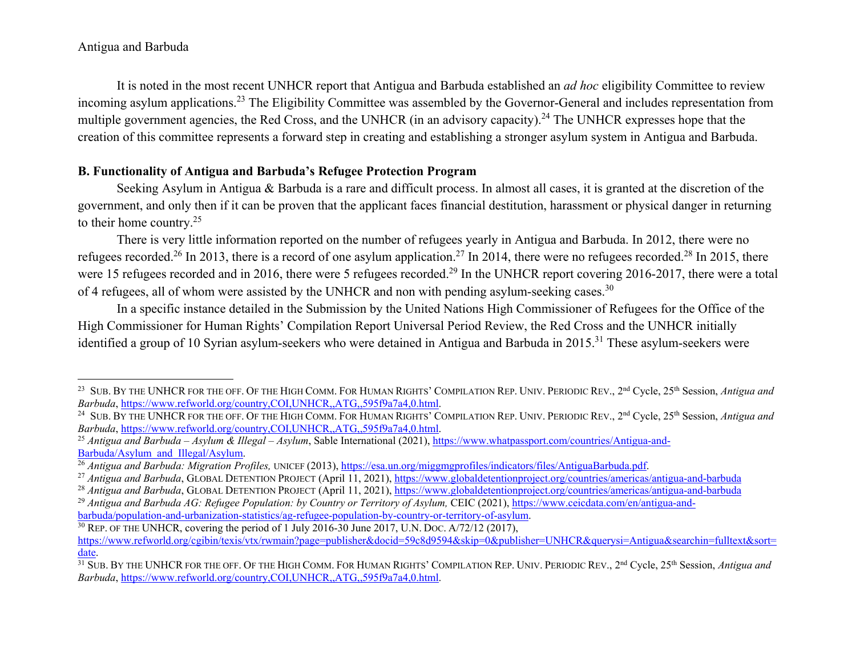It is noted in the most recent UNHCR report that Antigua and Barbuda established an *ad hoc* eligibility Committee to review incoming asylum applications.<sup>23</sup> The Eligibility Committee was assembled by the Governor-General and includes representation from multiple government agencies, the Red Cross, and the UNHCR (in an advisory capacity).<sup>24</sup> The UNHCR expresses hope that the creation of this committee represents a forward step in creating and establishing a stronger asylum system in Antigua and Barbuda.

# **B. Functionality of Antigua and Barbuda's Refugee Protection Program**

Seeking Asylum in Antigua & Barbuda is a rare and difficult process. In almost all cases, it is granted at the discretion of the government, and only then if it can be proven that the applicant faces financial destitution, harassment or physical danger in returning to their home country.<sup>25</sup>

 There is very little information reported on the number of refugees yearly in Antigua and Barbuda. In 2012, there were no refugees recorded.<sup>26</sup> In 2013, there is a record of one asylum application.<sup>27</sup> In 2014, there were no refugees recorded.<sup>28</sup> In 2015, there were 15 refugees recorded and in 2016, there were 5 refugees recorded.<sup>29</sup> In the UNHCR report covering 2016-2017, there were a total of 4 refugees, all of whom were assisted by the UNHCR and non with pending asylum-seeking cases.<sup>30</sup>

 In a specific instance detailed in the Submission by the United Nations High Commissioner of Refugees for the Office of the High Commissioner for Human Rights' Compilation Report Universal Period Review, the Red Cross and the UNHCR initially identified a group of 10 Syrian asylum-seekers who were detained in Antigua and Barbuda in 2015.<sup>31</sup> These asylum-seekers were

<sup>23</sup> SUB. BY THE UNHCR FOR THE OFF. OF THE HIGH COMM. FOR HUMAN RIGHTS' COMPILATION REP. UNIV. PERIODIC REV., 2nd Cycle, 25th Session, *Antigua and Barbuda*, https://www.refworld.org/country,COI,UNHCR,,ATG,,595f9a7a4,0.html.

<sup>24</sup> SUB. BY THE UNHCR FOR THE OFF. OF THE HIGH COMM. FOR HUMAN RIGHTS' COMPILATION REP. UNIV. PERIODIC REV., 2nd Cycle, 25th Session, *Antigua and Barbuda*, https://www.refworld.org/country,COI,UNHCR,,ATG,,595f9a7a4,0.html.

<sup>&</sup>lt;sup>25</sup> Antigua and Barbuda – Asylum & Illegal – Asylum, Sable International (2021), <u>https://www.whatpassport.com/countries/Antigua-and-</u> Barbuda/Asylum\_and\_Illegal/Asylum.

<sup>26</sup> *Antigua and Barbuda: Migration Profiles,* UNICEF (2013), https://esa.un.org/miggmgprofiles/indicators/files/AntiguaBarbuda.pdf.

<sup>&</sup>lt;sup>27</sup> *Antigua and Barbuda*, GLOBAL DETENTION PROJECT (April 11, 2021), https://www.globaldetentionproject.org/countries/americas/antigua-and-barbuda

<sup>&</sup>lt;sup>28</sup> *Antigua and Barbuda*, GLOBAL DETENTION PROJECT (April 11, 2021), https://www.globaldetentionproject.org/countries/americas/antigua-and-barbuda

<sup>&</sup>lt;sup>29</sup> Antigua and Barbuda AG: Refugee Population: by Country or Territory of Asylum, CEIC (2021), https://www.ceicdata.com/en/antigua-andbarbuda/population-and-urbanization-statistics/ag-refugee-population-by-country-or-territory-of-asylum.

 $30$  REP. OF THE UNHCR, covering the period of 1 July 2016-30 June 2017, U.N. Doc. A/72/12 (2017), https://www.refworld.org/cgibin/texis/vtx/rwmain?page=publisher&docid=59c8d9594&skip=0&publisher=UNHCR&querysi=Antigua&searchin=fulltext&sort= date.

31 SUB. BY THE UNHCR FOR THE OFF. OF THE HIGH COMM. FOR HUMAN RIGHTS' COMPILATION REP. UNIV. PERIODIC REV., 2nd Cycle, 25th Session, *Antigua and Barbuda*, https://www.refworld.org/country,COI,UNHCR,,ATG,,595f9a7a4,0.html.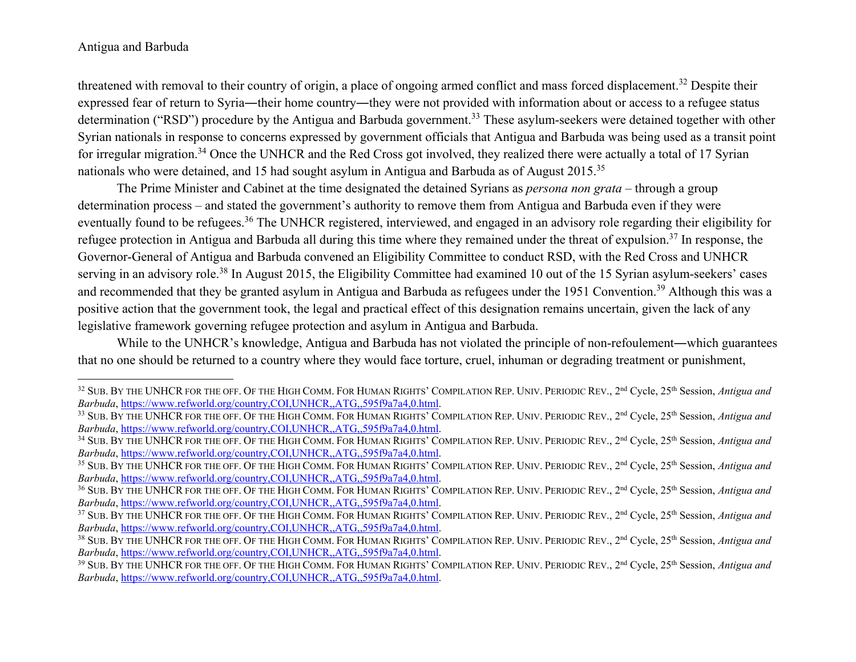threatened with removal to their country of origin, a place of ongoing armed conflict and mass forced displacement.<sup>32</sup> Despite their expressed fear of return to Syria―their home country―they were not provided with information about or access to a refugee status determination ("RSD") procedure by the Antigua and Barbuda government.<sup>33</sup> These asylum-seekers were detained together with other Syrian nationals in response to concerns expressed by government officials that Antigua and Barbuda was being used as a transit point for irregular migration.<sup>34</sup> Once the UNHCR and the Red Cross got involved, they realized there were actually a total of 17 Syrian nationals who were detained, and 15 had sought asylum in Antigua and Barbuda as of August 2015.<sup>35</sup>

The Prime Minister and Cabinet at the time designated the detained Syrians as *persona non grata* – through a group determination process – and stated the government's authority to remove them from Antigua and Barbuda even if they were eventually found to be refugees.<sup>36</sup> The UNHCR registered, interviewed, and engaged in an advisory role regarding their eligibility for refugee protection in Antigua and Barbuda all during this time where they remained under the threat of expulsion.<sup>37</sup> In response, the Governor-General of Antigua and Barbuda convened an Eligibility Committee to conduct RSD, with the Red Cross and UNHCR serving in an advisory role.<sup>38</sup> In August 2015, the Eligibility Committee had examined 10 out of the 15 Syrian asylum-seekers' cases and recommended that they be granted asylum in Antigua and Barbuda as refugees under the 1951 Convention.<sup>39</sup> Although this was a positive action that the government took, the legal and practical effect of this designation remains uncertain, given the lack of any legislative framework governing refugee protection and asylum in Antigua and Barbuda.

While to the UNHCR's knowledge, Antigua and Barbuda has not violated the principle of non-refoulement—which guarantees that no one should be returned to a country where they would face torture, cruel, inhuman or degrading treatment or punishment,

<sup>32</sup> SUB. BY THE UNHCR FOR THE OFF. OF THE HIGH COMM. FOR HUMAN RIGHTS' COMPILATION REP. UNIV. PERIODIC REV., 2nd Cycle, 25th Session, *Antigua and Barbuda*, https://www.refworld.org/country,COI,UNHCR,,ATG,,595f9a7a4,0.html.

<sup>33</sup> SUB. BY THE UNHCR FOR THE OFF. OF THE HIGH COMM. FOR HUMAN RIGHTS' COMPILATION REP. UNIV. PERIODIC REV., 2nd Cycle, 25th Session, *Antigua and Barbuda*, https://www.refworld.org/country,COI,UNHCR,,ATG,,595f9a7a4,0.html.

<sup>34</sup> SUB. BY THE UNHCR FOR THE OFF. OF THE HIGH COMM. FOR HUMAN RIGHTS' COMPILATION REP. UNIV. PERIODIC REV., 2nd Cycle, 25th Session, *Antigua and Barbuda*, https://www.refworld.org/country,COI,UNHCR,,ATG,,595f9a7a4,0.html.

<sup>35</sup> SUB. BY THE UNHCR FOR THE OFF. OF THE HIGH COMM. FOR HUMAN RIGHTS' COMPILATION REP. UNIV. PERIODIC REV., 2nd Cycle, 25th Session, *Antigua and Barbuda*, https://www.refworld.org/country,COI,UNHCR,,ATG,,595f9a7a4,0.html.

<sup>36</sup> SUB. BY THE UNHCR FOR THE OFF. OF THE HIGH COMM. FOR HUMAN RIGHTS' COMPILATION REP. UNIV. PERIODIC REV., 2nd Cycle, 25th Session, *Antigua and Barbuda*, https://www.refworld.org/country,COI,UNHCR,,ATG,,595f9a7a4,0.html.

<sup>37</sup> SUB. BY THE UNHCR FOR THE OFF. OF THE HIGH COMM. FOR HUMAN RIGHTS' COMPILATION REP. UNIV. PERIODIC REV., 2nd Cycle, 25th Session, *Antigua and Barbuda*, https://www.refworld.org/country,COI,UNHCR,,ATG,,595f9a7a4,0.html.

<sup>38</sup> SUB. BY THE UNHCR FOR THE OFF. OF THE HIGH COMM. FOR HUMAN RIGHTS' COMPILATION REP. UNIV. PERIODIC REV., 2nd Cycle, 25th Session, *Antigua and Barbuda*, https://www.refworld.org/country,COI,UNHCR,,ATG,,595f9a7a4,0.html.

<sup>39</sup> SUB. BY THE UNHCR FOR THE OFF. OF THE HIGH COMM. FOR HUMAN RIGHTS' COMPILATION REP. UNIV. PERIODIC REV., 2nd Cycle, 25th Session, *Antigua and Barbuda*, https://www.refworld.org/country,COI,UNHCR,,ATG,,595f9a7a4,0.html.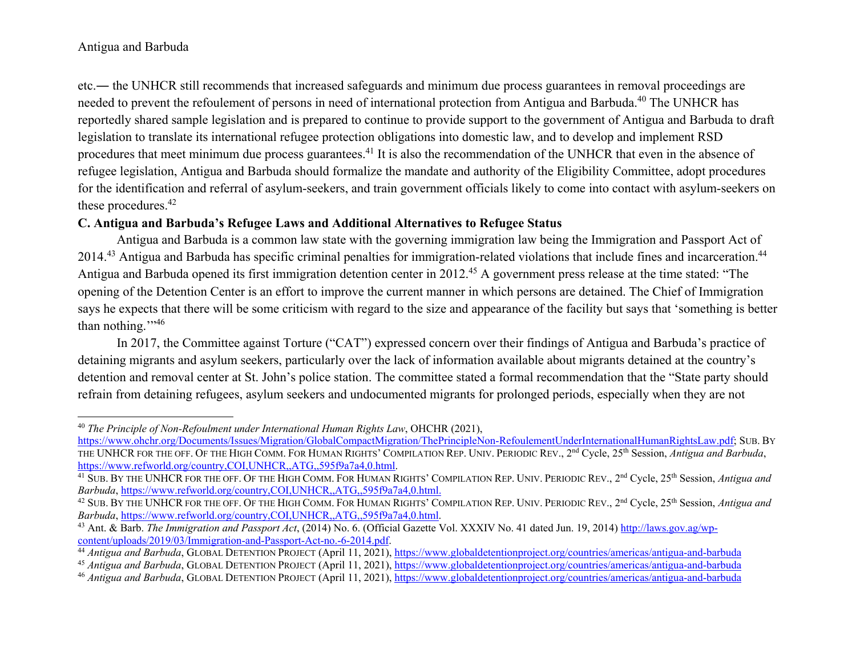etc.― the UNHCR still recommends that increased safeguards and minimum due process guarantees in removal proceedings are needed to prevent the refoulement of persons in need of international protection from Antigua and Barbuda.<sup>40</sup> The UNHCR has reportedly shared sample legislation and is prepared to continue to provide support to the government of Antigua and Barbuda to draft legislation to translate its international refugee protection obligations into domestic law, and to develop and implement RSD procedures that meet minimum due process guarantees.<sup>41</sup> It is also the recommendation of the UNHCR that even in the absence of refugee legislation, Antigua and Barbuda should formalize the mandate and authority of the Eligibility Committee, adopt procedures for the identification and referral of asylum-seekers, and train government officials likely to come into contact with asylum-seekers on these procedures.<sup>42</sup>

# **C. Antigua and Barbuda's Refugee Laws and Additional Alternatives to Refugee Status**

 Antigua and Barbuda is a common law state with the governing immigration law being the Immigration and Passport Act of 2014.<sup>43</sup> Antigua and Barbuda has specific criminal penalties for immigration-related violations that include fines and incarceration.<sup>44</sup> Antigua and Barbuda opened its first immigration detention center in 2012.45 A government press release at the time stated: "The opening of the Detention Center is an effort to improve the current manner in which persons are detained. The Chief of Immigration says he expects that there will be some criticism with regard to the size and appearance of the facility but says that 'something is better than nothing."<sup>46</sup>

 In 2017, the Committee against Torture ("CAT") expressed concern over their findings of Antigua and Barbuda's practice of detaining migrants and asylum seekers, particularly over the lack of information available about migrants detained at the country's detention and removal center at St. John's police station. The committee stated a formal recommendation that the "State party should refrain from detaining refugees, asylum seekers and undocumented migrants for prolonged periods, especially when they are not

<sup>40</sup> *The Principle of Non-Refoulment under International Human Rights Law*, OHCHR (2021),

https://www.ohchr.org/Documents/Issues/Migration/GlobalCompactMigration/ThePrincipleNon-RefoulementUnderInternationalHumanRightsLaw.pdf; SUB. BY THE UNHCR FOR THE OFF. OF THE HIGH COMM. FOR HUMAN RIGHTS' COMPILATION REP. UNIV. PERIODIC REV., 2<sup>nd</sup> Cycle, 25<sup>th</sup> Session, *Antigua and Barbuda*, https://www.refworld.org/country,COI,UNHCR,,ATG,,595f9a7a4,0.html.

<sup>41</sup> SUB. BY THE UNHCR FOR THE OFF. OF THE HIGH COMM. FOR HUMAN RIGHTS' COMPILATION REP. UNIV. PERIODIC REV., 2nd Cycle, 25th Session, *Antigua and Barbuda*, https://www.refworld.org/country,COI,UNHCR,,ATG,,595f9a7a4,0.html.

<sup>42</sup> SUB. BY THE UNHCR FOR THE OFF. OF THE HIGH COMM. FOR HUMAN RIGHTS' COMPILATION REP. UNIV. PERIODIC REV., 2nd Cycle, 25th Session, *Antigua and Barbuda*, https://www.refworld.org/country,COI,UNHCR,,ATG,,595f9a7a4,0.html.

<sup>43</sup> Ant. & Barb. *The Immigration and Passport Act*, (2014) No. 6. (Official Gazette Vol. XXXIV No. 41 dated Jun. 19, 2014) http://laws.gov.ag/wpcontent/uploads/2019/03/Immigration-and-Passport-Act-no.-6-2014.pdf.

<sup>44</sup> *Antigua and Barbuda*, GLOBAL DETENTION PROJECT (April 11, 2021), https://www.globaldetentionproject.org/countries/americas/antigua-and-barbuda

<sup>45</sup> *Antigua and Barbuda*, GLOBAL DETENTION PROJECT (April 11, 2021), https://www.globaldetentionproject.org/countries/americas/antigua-and-barbuda

<sup>46</sup> *Antigua and Barbuda*, GLOBAL DETENTION PROJECT (April 11, 2021), https://www.globaldetentionproject.org/countries/americas/antigua-and-barbuda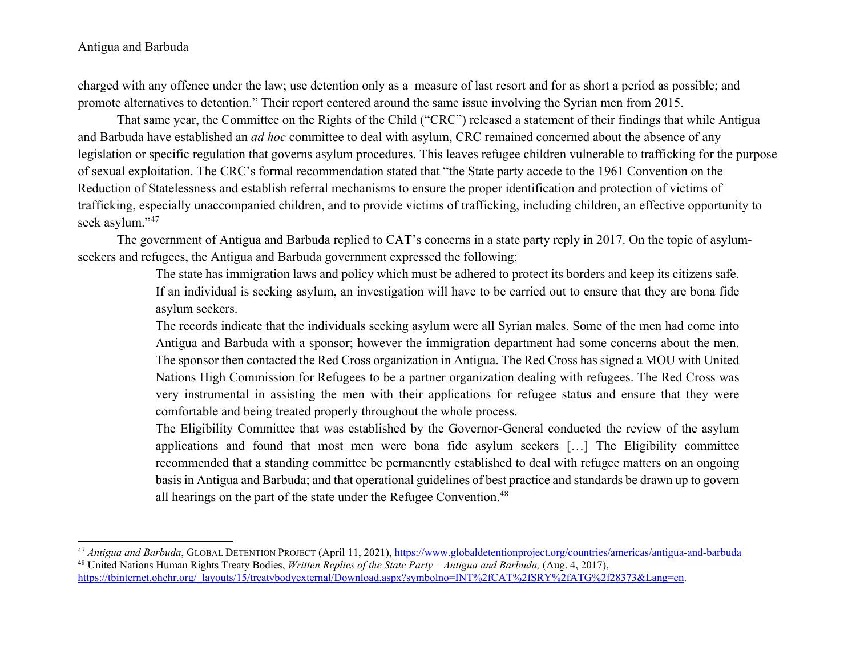charged with any offence under the law; use detention only as a measure of last resort and for as short a period as possible; and promote alternatives to detention." Their report centered around the same issue involving the Syrian men from 2015.

That same year, the Committee on the Rights of the Child ("CRC") released a statement of their findings that while Antigua and Barbuda have established an *ad hoc* committee to deal with asylum, CRC remained concerned about the absence of any legislation or specific regulation that governs asylum procedures. This leaves refugee children vulnerable to trafficking for the purpose of sexual exploitation. The CRC's formal recommendation stated that "the State party accede to the 1961 Convention on the Reduction of Statelessness and establish referral mechanisms to ensure the proper identification and protection of victims of trafficking, especially unaccompanied children, and to provide victims of trafficking, including children, an effective opportunity to seek asylum."<sup>47</sup>

The government of Antigua and Barbuda replied to CAT's concerns in a state party reply in 2017. On the topic of asylumseekers and refugees, the Antigua and Barbuda government expressed the following:

> The state has immigration laws and policy which must be adhered to protect its borders and keep its citizens safe. If an individual is seeking asylum, an investigation will have to be carried out to ensure that they are bona fide asylum seekers.

> The records indicate that the individuals seeking asylum were all Syrian males. Some of the men had come into Antigua and Barbuda with a sponsor; however the immigration department had some concerns about the men. The sponsor then contacted the Red Cross organization in Antigua. The Red Cross has signed a MOU with United Nations High Commission for Refugees to be a partner organization dealing with refugees. The Red Cross was very instrumental in assisting the men with their applications for refugee status and ensure that they were comfortable and being treated properly throughout the whole process.

> The Eligibility Committee that was established by the Governor-General conducted the review of the asylum applications and found that most men were bona fide asylum seekers […] The Eligibility committee recommended that a standing committee be permanently established to deal with refugee matters on an ongoing basis in Antigua and Barbuda; and that operational guidelines of best practice and standards be drawn up to govern all hearings on the part of the state under the Refugee Convention.<sup>48</sup>

<sup>47</sup> *Antigua and Barbuda*, GLOBAL DETENTION PROJECT (April 11, 2021), https://www.globaldetentionproject.org/countries/americas/antigua-and-barbuda 48 United Nations Human Rights Treaty Bodies, *Written Replies of the State Party – Antigua and Barbuda,* (Aug. 4, 2017), https://tbinternet.ohchr.org/\_layouts/15/treatybodyexternal/Download.aspx?symbolno=INT%2fCAT%2fSRY%2fATG%2f28373&Lang=en.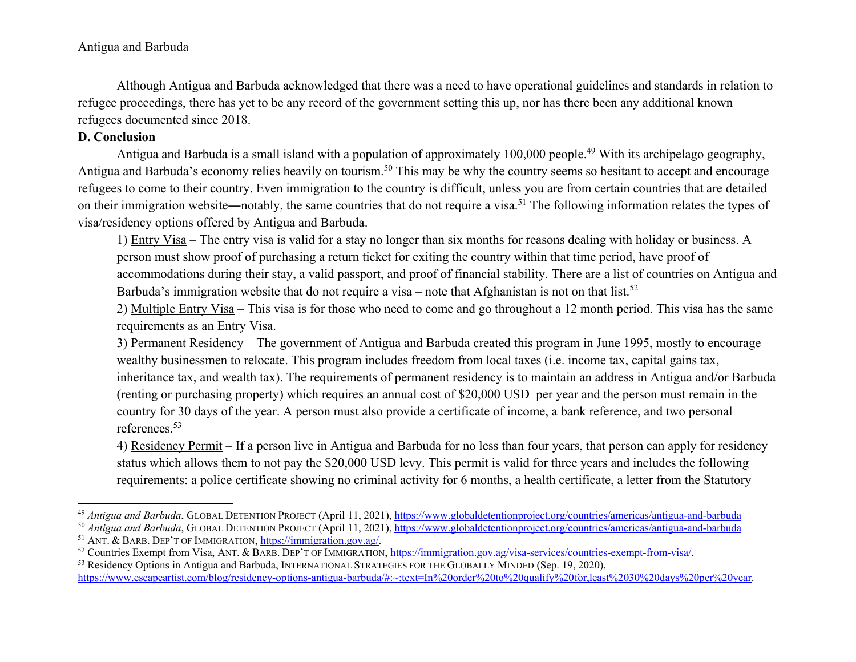Although Antigua and Barbuda acknowledged that there was a need to have operational guidelines and standards in relation to refugee proceedings, there has yet to be any record of the government setting this up, nor has there been any additional known refugees documented since 2018.

# **D. Conclusion**

Antigua and Barbuda is a small island with a population of approximately 100,000 people.<sup>49</sup> With its archipelago geography, Antigua and Barbuda's economy relies heavily on tourism.<sup>50</sup> This may be why the country seems so hesitant to accept and encourage refugees to come to their country. Even immigration to the country is difficult, unless you are from certain countries that are detailed on their immigration website—notably, the same countries that do not require a visa.<sup>51</sup> The following information relates the types of visa/residency options offered by Antigua and Barbuda.

1) Entry Visa – The entry visa is valid for a stay no longer than six months for reasons dealing with holiday or business. A person must show proof of purchasing a return ticket for exiting the country within that time period, have proof of accommodations during their stay, a valid passport, and proof of financial stability. There are a list of countries on Antigua and Barbuda's immigration website that do not require a visa – note that Afghanistan is not on that list.<sup>52</sup>

2) Multiple Entry Visa – This visa is for those who need to come and go throughout a 12 month period. This visa has the same requirements as an Entry Visa.

3) Permanent Residency – The government of Antigua and Barbuda created this program in June 1995, mostly to encourage wealthy businessmen to relocate. This program includes freedom from local taxes (i.e. income tax, capital gains tax, inheritance tax, and wealth tax). The requirements of permanent residency is to maintain an address in Antigua and/or Barbuda (renting or purchasing property) which requires an annual cost of \$20,000 USD per year and the person must remain in the country for 30 days of the year. A person must also provide a certificate of income, a bank reference, and two personal references.<sup>53</sup>

4) Residency Permit – If a person live in Antigua and Barbuda for no less than four years, that person can apply for residency status which allows them to not pay the \$20,000 USD levy. This permit is valid for three years and includes the following requirements: a police certificate showing no criminal activity for 6 months, a health certificate, a letter from the Statutory

<sup>&</sup>lt;sup>49</sup> *Antigua and Barbuda*, GLOBAL DETENTION PROJECT (April 11, 2021), https://www.globaldetentionproject.org/countries/americas/antigua-and-barbuda

<sup>&</sup>lt;sup>50</sup> *Antigua and Barbuda*, GLOBAL DETENTION PROJECT (April 11, 2021), https://www.globaldetentionproject.org/countries/americas/antigua-and-barbuda

<sup>&</sup>lt;sup>51</sup> ANT. & BARB. DEP'T OF IMMIGRATION, **https://immigration.gov.ag/.** 

<sup>52</sup> Countries Exempt from Visa, ANT. & BARB. DEP'T OF IMMIGRATION, https://immigration.gov.ag/visa-services/countries-exempt-from-visa/.

<sup>53</sup> Residency Options in Antigua and Barbuda, INTERNATIONAL STRATEGIES FOR THE GLOBALLY MINDED (Sep. 19, 2020), https://www.escapeartist.com/blog/residency-options-antigua-barbuda/#:~:text=In%20order%20to%20qualify%20for,least%2030%20days%20per%20year.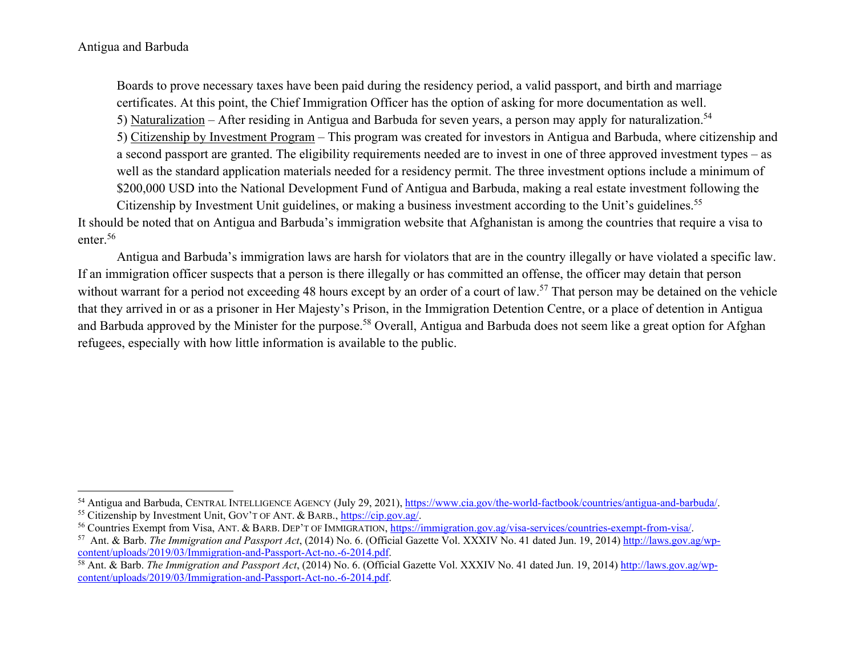Boards to prove necessary taxes have been paid during the residency period, a valid passport, and birth and marriage certificates. At this point, the Chief Immigration Officer has the option of asking for more documentation as well. 5) Naturalization – After residing in Antigua and Barbuda for seven years, a person may apply for naturalization.<sup>54</sup> 5) Citizenship by Investment Program – This program was created for investors in Antigua and Barbuda, where citizenship and a second passport are granted. The eligibility requirements needed are to invest in one of three approved investment types – as well as the standard application materials needed for a residency permit. The three investment options include a minimum of \$200,000 USD into the National Development Fund of Antigua and Barbuda, making a real estate investment following the Citizenship by Investment Unit guidelines, or making a business investment according to the Unit's guidelines.<sup>55</sup>

It should be noted that on Antigua and Barbuda's immigration website that Afghanistan is among the countries that require a visa to enter.<sup>56</sup>

 Antigua and Barbuda's immigration laws are harsh for violators that are in the country illegally or have violated a specific law. If an immigration officer suspects that a person is there illegally or has committed an offense, the officer may detain that person without warrant for a period not exceeding 48 hours except by an order of a court of law.<sup>57</sup> That person may be detained on the vehicle that they arrived in or as a prisoner in Her Majesty's Prison, in the Immigration Detention Centre, or a place of detention in Antigua and Barbuda approved by the Minister for the purpose.<sup>58</sup> Overall, Antigua and Barbuda does not seem like a great option for Afghan refugees, especially with how little information is available to the public.

<sup>54</sup> Antigua and Barbuda, CENTRAL INTELLIGENCE AGENCY (July 29, 2021), https://www.cia.gov/the-world-factbook/countries/antigua-and-barbuda/. 55 Citizenship by Investment Unit, GOV'T OF ANT. & BARB., https://cip.gov.ag/.

<sup>56</sup> Countries Exempt from Visa, ANT. & BARB. DEP'T OF IMMIGRATION, https://immigration.gov.ag/visa-services/countries-exempt-from-visa/.

<sup>57</sup> Ant. & Barb. *The Immigration and Passport Act*, (2014) No. 6. (Official Gazette Vol. XXXIV No. 41 dated Jun. 19, 2014) http://laws.gov.ag/wpcontent/uploads/2019/03/Immigration-and-Passport-Act-no.-6-2014.pdf.

<sup>&</sup>lt;sup>58</sup> Ant. & Barb. *The Immigration and Passport Act*, (2014) No. 6. (Official Gazette Vol. XXXIV No. 41 dated Jun. 19, 2014) http://laws.gov.ag/wpcontent/uploads/2019/03/Immigration-and-Passport-Act-no.-6-2014.pdf.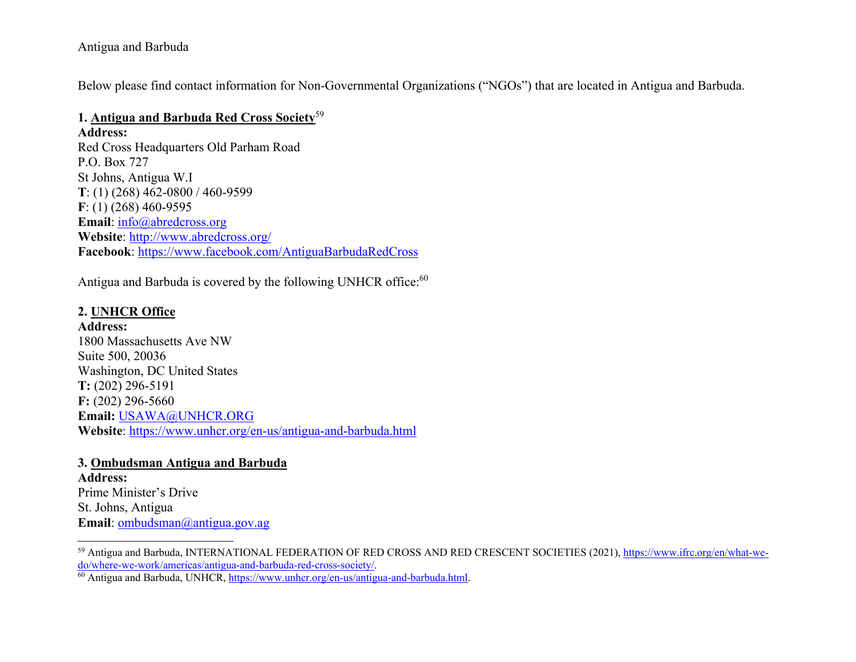Below please find contact information for Non-Governmental Organizations ("NGOs") that are located in Antigua and Barbuda.

### **1. Antigua and Barbuda Red Cross Society**<sup>59</sup>

**Address:** 

Red Cross Headquarters Old Parham Road P.O. Box 727 St Johns, Antigua W.I **T**: (1) (268) 462-0800 / 460-9599 **F**: (1) (268) 460-9595 **Email**: info@abredcross.org **Website**: http://www.abredcross.org/ **Facebook**: https://www.facebook.com/AntiguaBarbudaRedCross

Antigua and Barbuda is covered by the following UNHCR office:<sup>60</sup>

## **2. UNHCR Office**

**Address:** 1800 Massachusetts Ave NW Suite 500, 20036 Washington, DC United States **T:** (202) 296-5191 **F:** (202) 296-5660 **Email:** USAWA@UNHCR.ORG **Website**: https://www.unhcr.org/en-us/antigua-and-barbuda.html

#### **3. Ombudsman Antigua and Barbuda**

**Address:** Prime Minister's Drive St. Johns, Antigua **Email**: ombudsman@antigua.gov.ag

<sup>59</sup> Antigua and Barbuda, INTERNATIONAL FEDERATION OF RED CROSS AND RED CRESCENT SOCIETIES (2021), https://www.ifrc.org/en/what-wedo/where-we-work/americas/antigua-and-barbuda-red-cross-society/.

<sup>60</sup> Antigua and Barbuda, UNHCR, https://www.unhcr.org/en-us/antigua-and-barbuda.html.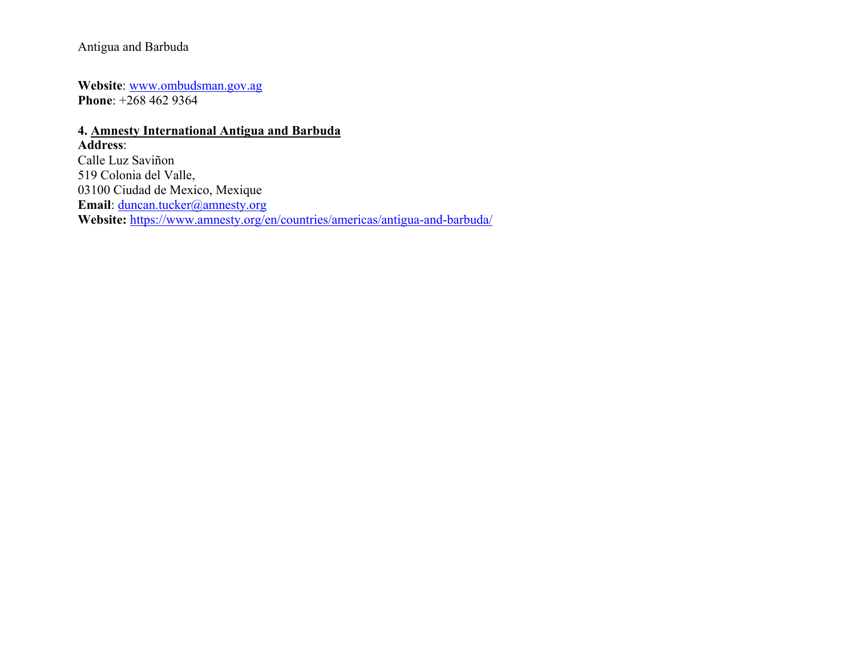**Website**: www.ombudsman.gov.ag **Phone**: +268 462 9364

# **4. Amnesty International Antigua and Barbuda Address**: Calle Luz Saviñon 519 Colonia del Valle, 03100 Ciudad de Mexico, Mexique **Email**: duncan.tucker@amnesty.org **Website:** https://www.amnesty.org/en/countries/americas/antigua-and-barbuda/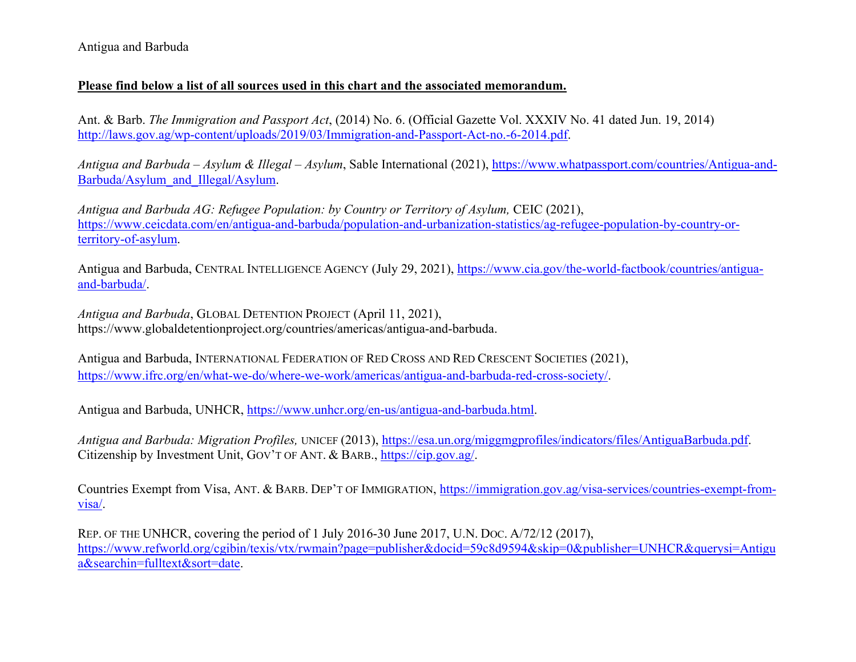#### **Please find below a list of all sources used in this chart and the associated memorandum.**

Ant. & Barb. *The Immigration and Passport Act*, (2014) No. 6. (Official Gazette Vol. XXXIV No. 41 dated Jun. 19, 2014) http://laws.gov.ag/wp-content/uploads/2019/03/Immigration-and-Passport-Act-no.-6-2014.pdf.

*Antigua and Barbuda – Asylum & Illegal – Asylum*, Sable International (2021), https://www.whatpassport.com/countries/Antigua-and-Barbuda/Asylum\_and\_Illegal/Asylum.

*Antigua and Barbuda AG: Refugee Population: by Country or Territory of Asylum, CEIC (2021),* https://www.ceicdata.com/en/antigua-and-barbuda/population-and-urbanization-statistics/ag-refugee-population-by-country-orterritory-of-asylum.

Antigua and Barbuda, CENTRAL INTELLIGENCE AGENCY (July 29, 2021), <u>https://www.cia.gov/the-world-factbook/countries/antigua-</u> and-barbuda/.

*Antigua and Barbuda*, GLOBAL DETENTION PROJECT (April 11, 2021), https://www.globaldetentionproject.org/countries/americas/antigua-and-barbuda.

Antigua and Barbuda, INTERNATIONAL FEDERATION OF RED CROSS AND RED CRESCENT SOCIETIES (2021), https://www.ifrc.org/en/what-we-do/where-we-work/americas/antigua-and-barbuda-red-cross-society/.

Antigua and Barbuda, UNHCR, https://www.unhcr.org/en-us/antigua-and-barbuda.html.

*Antigua and Barbuda: Migration Profiles,* UNICEF (2013), https://esa.un.org/miggmgprofiles/indicators/files/AntiguaBarbuda.pdf. Citizenship by Investment Unit, GOV'T OF ANT. & BARB., https://cip.gov.ag/.

Countries Exempt from Visa, ANT. & BARB. DEP'T OF IMMIGRATION, <u>https://immigration.gov.ag/visa-services/countries-exempt-from-</u> visa/.

REP. OF THE UNHCR, covering the period of 1 July 2016-30 June 2017, U.N. DOC. A/72/12 (2017), https://www.refworld.org/cgibin/texis/vtx/rwmain?page=publisher&docid=59c8d9594&skip=0&publisher=UNHCR&querysi=Antigu a&searchin=fulltext&sort=date.